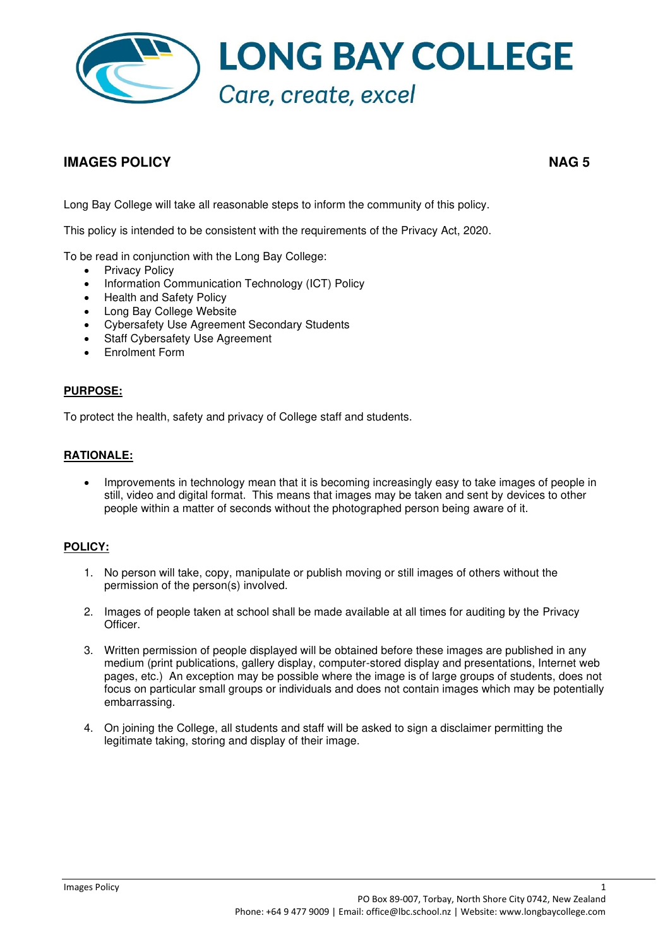

# **IMAGES POLICY NAG 5**

Long Bay College will take all reasonable steps to inform the community of this policy.

This policy is intended to be consistent with the requirements of the Privacy Act, 2020.

To be read in conjunction with the Long Bay College:

- Privacy Policy
- Information Communication Technology (ICT) Policy
- Health and Safety Policy
- Long Bay College Website
- Cybersafety Use Agreement Secondary Students
- Staff Cybersafety Use Agreement
- Enrolment Form

#### **PURPOSE:**

To protect the health, safety and privacy of College staff and students.

# **RATIONALE:**

• Improvements in technology mean that it is becoming increasingly easy to take images of people in still, video and digital format. This means that images may be taken and sent by devices to other people within a matter of seconds without the photographed person being aware of it.

# **POLICY:**

- 1. No person will take, copy, manipulate or publish moving or still images of others without the permission of the person(s) involved.
- 2. Images of people taken at school shall be made available at all times for auditing by the Privacy Officer.
- 3. Written permission of people displayed will be obtained before these images are published in any medium (print publications, gallery display, computer-stored display and presentations, Internet web pages, etc.) An exception may be possible where the image is of large groups of students, does not focus on particular small groups or individuals and does not contain images which may be potentially embarrassing.
- 4. On joining the College, all students and staff will be asked to sign a disclaimer permitting the legitimate taking, storing and display of their image.